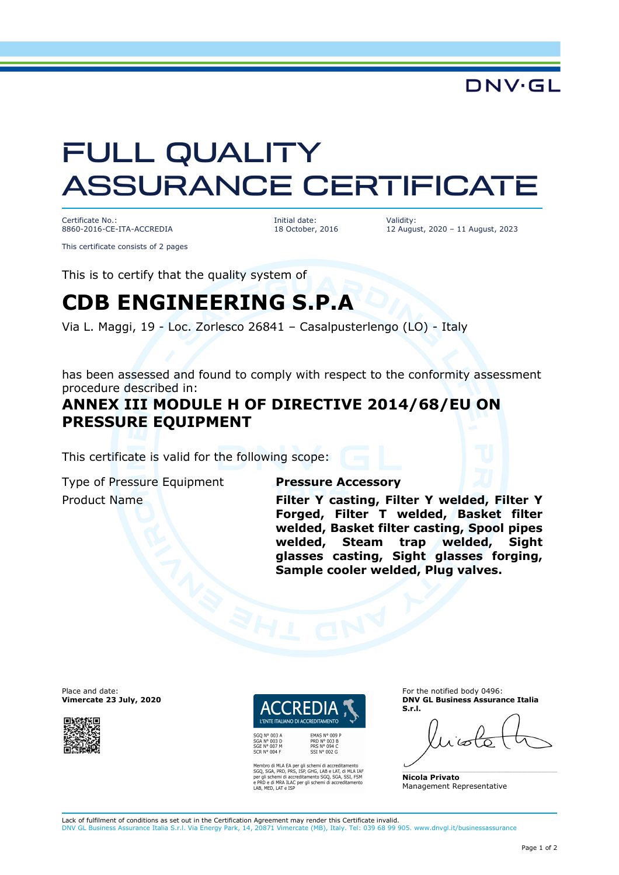DNV·GL

# FULL QUALITY ASSURANCE CERTIFICATE

Certificate No.: 8860-2016-CE-ITA-ACCREDIA

This certificate consists of 2 pages

Initial date: 18 October, 2016 Validity: 12 August, 2020 – 11 August, 2023

This is to certify that the quality system of

## **CDB ENGINEERING S.P.A**

Via L. Maggi, 19 - Loc. Zorlesco 26841 – Casalpusterlengo (LO) - Italy

has been assessed and found to comply with respect to the conformity assessment procedure described in:

### **ANNEX III MODULE H OF DIRECTIVE 2014/68/EU ON PRESSURE EQUIPMENT**

This certificate is valid for the following scope:

Type of Pressure Equipment **Pressure Accessory**

Product Name **Research 20 Y Casting, Filter Y welded, Filter Y Forged, Filter T welded, Basket filter welded, Basket filter casting, Spool pipes welded, Steam trap welded, Sight glasses casting, Sight glasses forging, Sample cooler welded, Plug valves.** 

Place and date: **Vimercate 23 July, 2020**



L'ENTE ITALIANO DI ACCREDITAMENTO PRD N° 003 B<br>PRS N° 094 C

SGA N° 003 D<br>SGE N° 007 M SOL IT CO.

Membro di MLA EA per gli schemi di accreditamento<br>SGQ, SGA, PRD, PRS, ISP, GHG, LAB e LAT, di MLA IAF<br>per gli schemi di accreditamento SGQ, SGA, SSI, FSM<br>e PRD e di MRA ILAC per gli schemi di accreditamento<br>LAB, MED, LAT e

SST Nº 002 G

For the notified body 0496: **DNV GL Business Assurance Italia S.r.l.** 

**Nicola Privato**  Management Representative

Lack of fulfilment of conditions as set out in the Certification Agreement may render this Certificate invalid. DNV GL Business Assurance Italia S.r.l. Via Energy Park, 14, 20871 Vimercate (MB), Italy. Tel: 039 68 99 905. www.dnvgl.it/businessassurance